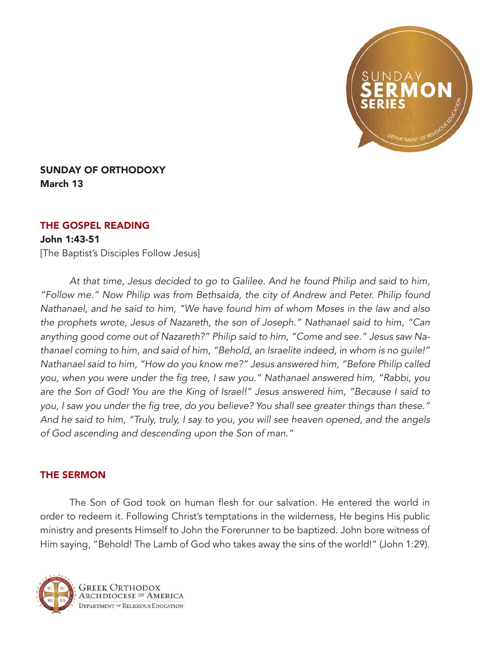

## SUNDAY OF ORTHODOXY March 13

## THE GOSPEL READING

## John 1:43-51

[The Baptist's Disciples Follow Jesus]

*At that time, Jesus decided to go to Galilee. And he found Philip and said to him, "Follow me." Now Philip was from Bethsaida, the city of Andrew and Peter. Philip found Nathanael, and he said to him, "We have found him of whom Moses in the law and also the prophets wrote, Jesus of Nazareth, the son of Joseph." Nathanael said to him, "Can anything good come out of Nazareth?" Philip said to him, "Come and see." Jesus saw Nathanael coming to him, and said of him, "Behold, an Israelite indeed, in whom is no guile!" Nathanael said to him, "How do you know me?" Jesus answered him, "Before Philip called*  you, when you were under the fig tree, I saw you." Nathanael answered him, "Rabbi, you *are the Son of God! You are the King of Israel!" Jesus answered him, "Because I said to*  you, I saw you under the fig tree, do you believe? You shall see greater things than these." *And he said to him, "Truly, truly, I say to you, you will see heaven opened, and the angels of God ascending and descending upon the Son of man."*

## THE SERMON

The Son of God took on human flesh for our salvation. He entered the world in order to redeem it. Following Christ's temptations in the wilderness, He begins His public ministry and presents Himself to John the Forerunner to be baptized. John bore witness of Him saying, "Behold! The Lamb of God who takes away the sins of the world!" (John 1:29).

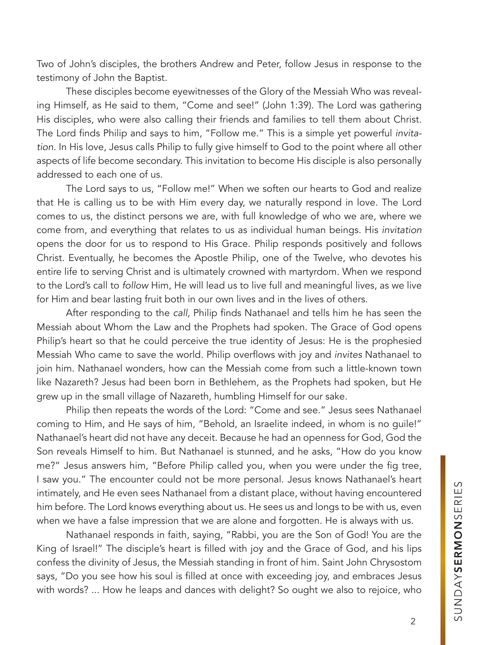Two of John's disciples, the brothers Andrew and Peter, follow Jesus in response to the testimony of John the Baptist.

These disciples become eyewitnesses of the Glory of the Messiah Who was revealing Himself, as He said to them, "Come and see!" (John 1:39). The Lord was gathering His disciples, who were also calling their friends and families to tell them about Christ. The Lord finds Philip and says to him, "Follow me." This is a simple yet powerful *invitation*. In His love, Jesus calls Philip to fully give himself to God to the point where all other aspects of life become secondary. This invitation to become His disciple is also personally addressed to each one of us.

The Lord says to us, "Follow me!" When we soften our hearts to God and realize that He is calling us to be with Him every day, we naturally respond in love. The Lord comes to us, the distinct persons we are, with full knowledge of who we are, where we come from, and everything that relates to us as individual human beings. His *invitation* opens the door for us to respond to His Grace. Philip responds positively and follows Christ. Eventually, he becomes the Apostle Philip, one of the Twelve, who devotes his entire life to serving Christ and is ultimately crowned with martyrdom. When we respond to the Lord's call to *follow* Him, He will lead us to live full and meaningful lives, as we live for Him and bear lasting fruit both in our own lives and in the lives of others.

After responding to the *call*, Philip finds Nathanael and tells him he has seen the Messiah about Whom the Law and the Prophets had spoken. The Grace of God opens Philip's heart so that he could perceive the true identity of Jesus: He is the prophesied Messiah Who came to save the world. Philip overflows with joy and *invites* Nathanael to join him. Nathanael wonders, how can the Messiah come from such a little-known town like Nazareth? Jesus had been born in Bethlehem, as the Prophets had spoken, but He grew up in the small village of Nazareth, humbling Himself for our sake.

Philip then repeats the words of the Lord: "Come and see." Jesus sees Nathanael coming to Him, and He says of him, "Behold, an Israelite indeed, in whom is no guile!" Nathanael's heart did not have any deceit. Because he had an openness for God, God the Son reveals Himself to him. But Nathanael is stunned, and he asks, "How do you know me?" Jesus answers him, "Before Philip called you, when you were under the fig tree, I saw you." The encounter could not be more personal. Jesus knows Nathanael's heart intimately, and He even sees Nathanael from a distant place, without having encountered him before. The Lord knows everything about us. He sees us and longs to be with us, even when we have a false impression that we are alone and forgotten. He is always with us.

Nathanael responds in faith, saying, "Rabbi, you are the Son of God! You are the King of Israel!" The disciple's heart is filled with joy and the Grace of God, and his lips confess the divinity of Jesus, the Messiah standing in front of him. Saint John Chrysostom says, "Do you see how his soul is filled at once with exceeding joy, and embraces Jesus with words? ... How he leaps and dances with delight? So ought we also to rejoice, who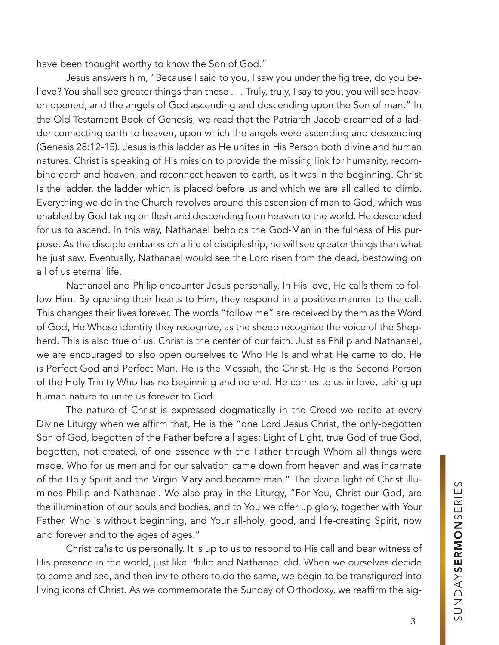have been thought worthy to know the Son of God."

Jesus answers him, "Because I said to you, I saw you under the fig tree, do you believe? You shall see greater things than these . . . Truly, truly, I say to you, you will see heaven opened, and the angels of God ascending and descending upon the Son of man." In the Old Testament Book of Genesis, we read that the Patriarch Jacob dreamed of a ladder connecting earth to heaven, upon which the angels were ascending and descending (Genesis 28:12-15). Jesus is this ladder as He unites in His Person both divine and human natures. Christ is speaking of His mission to provide the missing link for humanity, recombine earth and heaven, and reconnect heaven to earth, as it was in the beginning. Christ Is the ladder, the ladder which is placed before us and which we are all called to climb. Everything we do in the Church revolves around this ascension of man to God, which was enabled by God taking on flesh and descending from heaven to the world. He descended for us to ascend. In this way, Nathanael beholds the God-Man in the fulness of His purpose. As the disciple embarks on a life of discipleship, he will see greater things than what he just saw. Eventually, Nathanael would see the Lord risen from the dead, bestowing on all of us eternal life.

Nathanael and Philip encounter Jesus personally. In His love, He calls them to follow Him. By opening their hearts to Him, they respond in a positive manner to the call. This changes their lives forever. The words "follow me" are received by them as the Word of God, He Whose identity they recognize, as the sheep recognize the voice of the Shepherd. This is also true of us. Christ is the center of our faith. Just as Philip and Nathanael, we are encouraged to also open ourselves to Who He Is and what He came to do. He is Perfect God and Perfect Man. He is the Messiah, the Christ. He is the Second Person of the Holy Trinity Who has no beginning and no end. He comes to us in love, taking up human nature to unite us forever to God.

The nature of Christ is expressed dogmatically in the Creed we recite at every Divine Liturgy when we affirm that, He is the "one Lord Jesus Christ, the only-begotten Son of God, begotten of the Father before all ages; Light of Light, true God of true God, begotten, not created, of one essence with the Father through Whom all things were made. Who for us men and for our salvation came down from heaven and was incarnate of the Holy Spirit and the Virgin Mary and became man." The divine light of Christ illumines Philip and Nathanael. We also pray in the Liturgy, "For You, Christ our God, are the illumination of our souls and bodies, and to You we offer up glory, together with Your Father, Who is without beginning, and Your all-holy, good, and life-creating Spirit, now and forever and to the ages of ages."

Christ *calls* to us personally. It is up to us to respond to His call and bear witness of His presence in the world, just like Philip and Nathanael did. When we ourselves decide to come and see, and then invite others to do the same, we begin to be transfigured into living icons of Christ. As we commemorate the Sunday of Orthodoxy, we reaffirm the sig